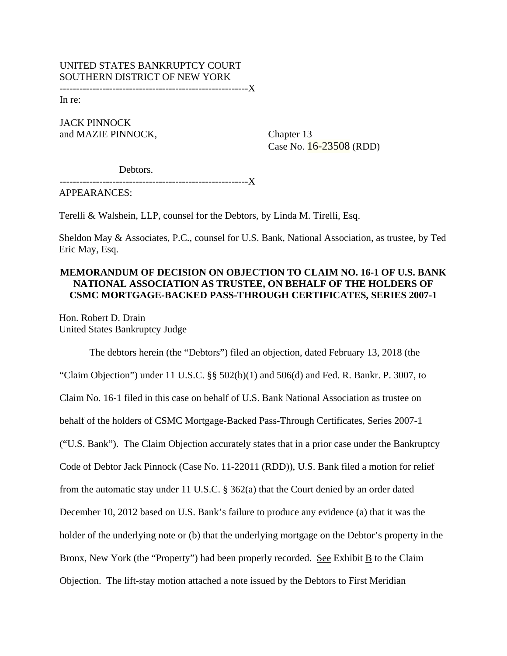# UNITED STATES BANKRUPTCY COURT SOUTHERN DISTRICT OF NEW YORK

---------------------------------------------------------X

In re:

JACK PINNOCK and MAZIE PINNOCK, Chapter 13

Case No. 16-23508 (RDD)

Debtors.

---------------------------------------------------------X

APPEARANCES:

Terelli & Walshein, LLP, counsel for the Debtors, by Linda M. Tirelli, Esq.

Sheldon May & Associates, P.C., counsel for U.S. Bank, National Association, as trustee, by Ted Eric May, Esq.

## **MEMORANDUM OF DECISION ON OBJECTION TO CLAIM NO. 16-1 OF U.S. BANK NATIONAL ASSOCIATION AS TRUSTEE, ON BEHALF OF THE HOLDERS OF CSMC MORTGAGE-BACKED PASS-THROUGH CERTIFICATES, SERIES 2007-1**

Hon. Robert D. Drain United States Bankruptcy Judge

The debtors herein (the "Debtors") filed an objection, dated February 13, 2018 (the "Claim Objection") under 11 U.S.C.  $\S$   $\S$   $502(b)(1)$  and  $506(d)$  and Fed. R. Bankr. P. 3007, to Claim No. 16-1 filed in this case on behalf of U.S. Bank National Association as trustee on behalf of the holders of CSMC Mortgage-Backed Pass-Through Certificates, Series 2007-1 ("U.S. Bank"). The Claim Objection accurately states that in a prior case under the Bankruptcy Code of Debtor Jack Pinnock (Case No. 11-22011 (RDD)), U.S. Bank filed a motion for relief from the automatic stay under 11 U.S.C. § 362(a) that the Court denied by an order dated December 10, 2012 based on U.S. Bank's failure to produce any evidence (a) that it was the holder of the underlying note or (b) that the underlying mortgage on the Debtor's property in the Bronx, New York (the "Property") had been properly recorded. See Exhibit B to the Claim Objection. The lift-stay motion attached a note issued by the Debtors to First Meridian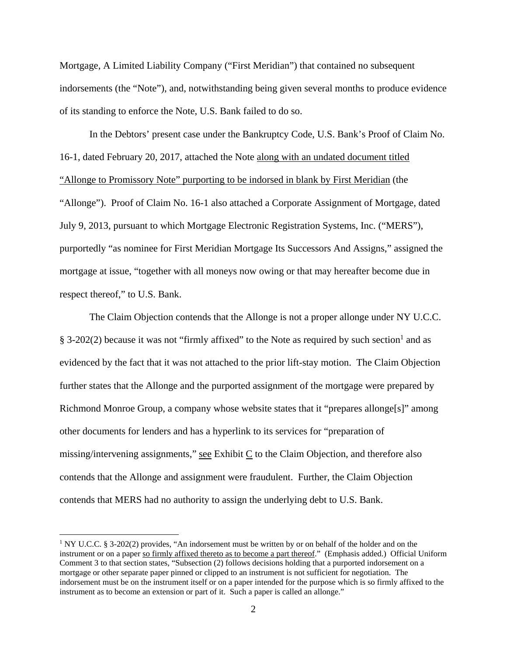Mortgage, A Limited Liability Company ("First Meridian") that contained no subsequent indorsements (the "Note"), and, notwithstanding being given several months to produce evidence of its standing to enforce the Note, U.S. Bank failed to do so.

In the Debtors' present case under the Bankruptcy Code, U.S. Bank's Proof of Claim No. 16-1, dated February 20, 2017, attached the Note along with an undated document titled "Allonge to Promissory Note" purporting to be indorsed in blank by First Meridian (the "Allonge"). Proof of Claim No. 16-1 also attached a Corporate Assignment of Mortgage, dated July 9, 2013, pursuant to which Mortgage Electronic Registration Systems, Inc. ("MERS"), purportedly "as nominee for First Meridian Mortgage Its Successors And Assigns," assigned the mortgage at issue, "together with all moneys now owing or that may hereafter become due in respect thereof," to U.S. Bank.

The Claim Objection contends that the Allonge is not a proper allonge under NY U.C.C.  $\S$  3-202(2) because it was not "firmly affixed" to the Note as required by such section<sup>1</sup> and as evidenced by the fact that it was not attached to the prior lift-stay motion. The Claim Objection further states that the Allonge and the purported assignment of the mortgage were prepared by Richmond Monroe Group, a company whose website states that it "prepares allonge[s]" among other documents for lenders and has a hyperlink to its services for "preparation of missing/intervening assignments," see Exhibit C to the Claim Objection, and therefore also contends that the Allonge and assignment were fraudulent. Further, the Claim Objection contends that MERS had no authority to assign the underlying debt to U.S. Bank.

<sup>&</sup>lt;sup>1</sup> NY U.C.C. § 3-202(2) provides, "An indorsement must be written by or on behalf of the holder and on the instrument or on a paper so firmly affixed thereto as to become a part thereof." (Emphasis added.) Official Uniform Comment 3 to that section states, "Subsection (2) follows decisions holding that a purported indorsement on a mortgage or other separate paper pinned or clipped to an instrument is not sufficient for negotiation. The indorsement must be on the instrument itself or on a paper intended for the purpose which is so firmly affixed to the instrument as to become an extension or part of it. Such a paper is called an allonge."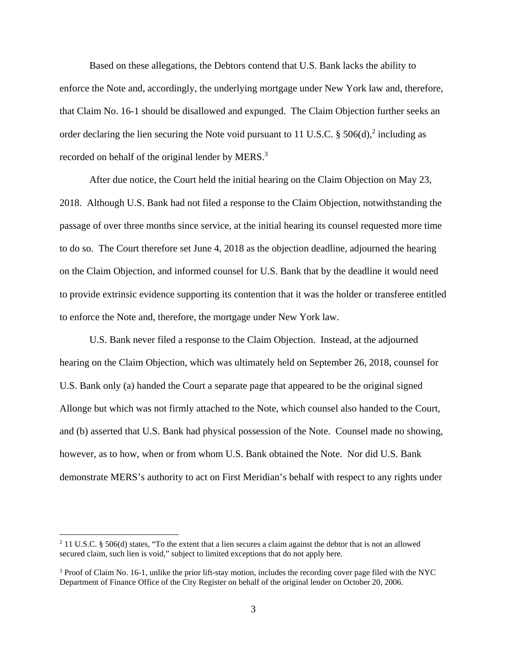Based on these allegations, the Debtors contend that U.S. Bank lacks the ability to enforce the Note and, accordingly, the underlying mortgage under New York law and, therefore, that Claim No. 16-1 should be disallowed and expunged. The Claim Objection further seeks an order declaring the lien securing the Note void pursuant to 11 U.S.C.  $\S 506(d)$ ,<sup>2</sup> including as recorded on behalf of the original lender by MERS.<sup>3</sup>

After due notice, the Court held the initial hearing on the Claim Objection on May 23, 2018. Although U.S. Bank had not filed a response to the Claim Objection, notwithstanding the passage of over three months since service, at the initial hearing its counsel requested more time to do so. The Court therefore set June 4, 2018 as the objection deadline, adjourned the hearing on the Claim Objection, and informed counsel for U.S. Bank that by the deadline it would need to provide extrinsic evidence supporting its contention that it was the holder or transferee entitled to enforce the Note and, therefore, the mortgage under New York law.

U.S. Bank never filed a response to the Claim Objection. Instead, at the adjourned hearing on the Claim Objection, which was ultimately held on September 26, 2018, counsel for U.S. Bank only (a) handed the Court a separate page that appeared to be the original signed Allonge but which was not firmly attached to the Note, which counsel also handed to the Court, and (b) asserted that U.S. Bank had physical possession of the Note. Counsel made no showing, however, as to how, when or from whom U.S. Bank obtained the Note. Nor did U.S. Bank demonstrate MERS's authority to act on First Meridian's behalf with respect to any rights under

<sup>&</sup>lt;sup>2</sup> 11 U.S.C. § 506(d) states, "To the extent that a lien secures a claim against the debtor that is not an allowed secured claim, such lien is void," subject to limited exceptions that do not apply here.

<sup>&</sup>lt;sup>3</sup> Proof of Claim No. 16-1, unlike the prior lift-stay motion, includes the recording cover page filed with the NYC Department of Finance Office of the City Register on behalf of the original lender on October 20, 2006.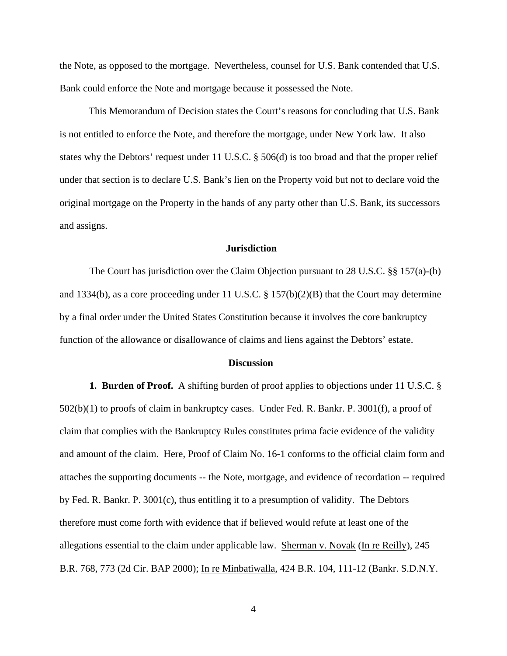the Note, as opposed to the mortgage. Nevertheless, counsel for U.S. Bank contended that U.S. Bank could enforce the Note and mortgage because it possessed the Note.

This Memorandum of Decision states the Court's reasons for concluding that U.S. Bank is not entitled to enforce the Note, and therefore the mortgage, under New York law. It also states why the Debtors' request under 11 U.S.C. § 506(d) is too broad and that the proper relief under that section is to declare U.S. Bank's lien on the Property void but not to declare void the original mortgage on the Property in the hands of any party other than U.S. Bank, its successors and assigns.

### **Jurisdiction**

The Court has jurisdiction over the Claim Objection pursuant to 28 U.S.C. §§ 157(a)-(b) and 1334(b), as a core proceeding under 11 U.S.C. § 157(b)(2)(B) that the Court may determine by a final order under the United States Constitution because it involves the core bankruptcy function of the allowance or disallowance of claims and liens against the Debtors' estate.

#### **Discussion**

**1. Burden of Proof.** A shifting burden of proof applies to objections under 11 U.S.C. § 502(b)(1) to proofs of claim in bankruptcy cases. Under Fed. R. Bankr. P. 3001(f), a proof of claim that complies with the Bankruptcy Rules constitutes prima facie evidence of the validity and amount of the claim. Here, Proof of Claim No. 16-1 conforms to the official claim form and attaches the supporting documents -- the Note, mortgage, and evidence of recordation -- required by Fed. R. Bankr. P. 3001(c), thus entitling it to a presumption of validity. The Debtors therefore must come forth with evidence that if believed would refute at least one of the allegations essential to the claim under applicable law. Sherman v. Novak (In re Reilly), 245 B.R. 768, 773 (2d Cir. BAP 2000); In re Minbatiwalla, 424 B.R. 104, 111-12 (Bankr. S.D.N.Y.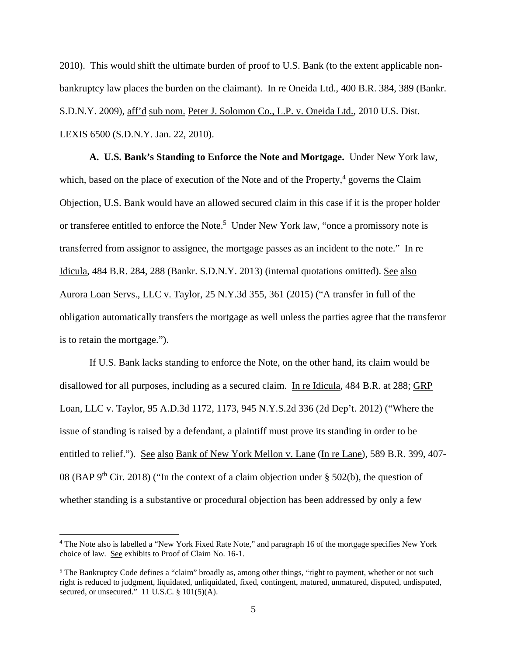2010). This would shift the ultimate burden of proof to U.S. Bank (to the extent applicable nonbankruptcy law places the burden on the claimant). In re Oneida Ltd., 400 B.R. 384, 389 (Bankr. S.D.N.Y. 2009), aff'd sub nom. Peter J. Solomon Co., L.P. v. Oneida Ltd., 2010 U.S. Dist. LEXIS 6500 (S.D.N.Y. Jan. 22, 2010).

**A. U.S. Bank's Standing to Enforce the Note and Mortgage.** Under New York law, which, based on the place of execution of the Note and of the Property, $4$  governs the Claim Objection, U.S. Bank would have an allowed secured claim in this case if it is the proper holder or transferee entitled to enforce the Note.<sup>5</sup> Under New York law, "once a promissory note is transferred from assignor to assignee, the mortgage passes as an incident to the note." In re Idicula, 484 B.R. 284, 288 (Bankr. S.D.N.Y. 2013) (internal quotations omitted). See also Aurora Loan Servs., LLC v. Taylor, 25 N.Y.3d 355, 361 (2015) ("A transfer in full of the obligation automatically transfers the mortgage as well unless the parties agree that the transferor is to retain the mortgage.").

If U.S. Bank lacks standing to enforce the Note, on the other hand, its claim would be disallowed for all purposes, including as a secured claim. In re Idicula, 484 B.R. at 288; GRP Loan, LLC v. Taylor, 95 A.D.3d 1172, 1173, 945 N.Y.S.2d 336 (2d Dep't. 2012) ("Where the issue of standing is raised by a defendant, a plaintiff must prove its standing in order to be entitled to relief."). See also Bank of New York Mellon v. Lane (In re Lane), 589 B.R. 399, 407- 08 (BAP 9<sup>th</sup> Cir. 2018) ("In the context of a claim objection under  $\S$  502(b), the question of whether standing is a substantive or procedural objection has been addressed by only a few

<sup>&</sup>lt;sup>4</sup> The Note also is labelled a "New York Fixed Rate Note," and paragraph 16 of the mortgage specifies New York choice of law. See exhibits to Proof of Claim No. 16-1.

<sup>&</sup>lt;sup>5</sup> The Bankruptcy Code defines a "claim" broadly as, among other things, "right to payment, whether or not such right is reduced to judgment, liquidated, unliquidated, fixed, contingent, matured, unmatured, disputed, undisputed, secured, or unsecured."  $11$  U.S.C. §  $101(5)(A)$ .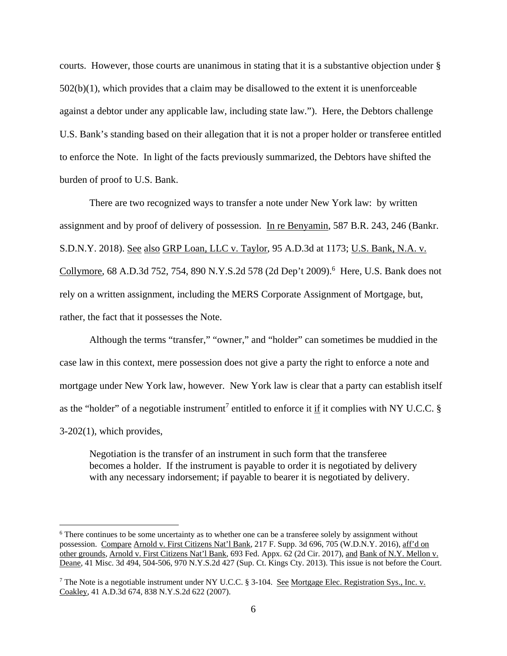courts. However, those courts are unanimous in stating that it is a substantive objection under §  $502(b)(1)$ , which provides that a claim may be disallowed to the extent it is unenforceable against a debtor under any applicable law, including state law."). Here, the Debtors challenge U.S. Bank's standing based on their allegation that it is not a proper holder or transferee entitled to enforce the Note. In light of the facts previously summarized, the Debtors have shifted the burden of proof to U.S. Bank.

There are two recognized ways to transfer a note under New York law: by written assignment and by proof of delivery of possession. In re Benyamin, 587 B.R. 243, 246 (Bankr. S.D.N.Y. 2018). See also GRP Loan, LLC v. Taylor, 95 A.D.3d at 1173; U.S. Bank, N.A. v. Collymore, 68 A.D.3d 752, 754, 890 N.Y.S.2d 578 (2d Dep't 2009).<sup>6</sup> Here, U.S. Bank does not rely on a written assignment, including the MERS Corporate Assignment of Mortgage, but, rather, the fact that it possesses the Note.

Although the terms "transfer," "owner," and "holder" can sometimes be muddied in the case law in this context, mere possession does not give a party the right to enforce a note and mortgage under New York law, however. New York law is clear that a party can establish itself as the "holder" of a negotiable instrument<sup>7</sup> entitled to enforce it if it complies with NY U.C.C. § 3-202(1), which provides,

Negotiation is the transfer of an instrument in such form that the transferee becomes a holder. If the instrument is payable to order it is negotiated by delivery with any necessary indorsement; if payable to bearer it is negotiated by delivery.

<sup>&</sup>lt;sup>6</sup> There continues to be some uncertainty as to whether one can be a transferee solely by assignment without possession. Compare Arnold v. First Citizens Nat'l Bank, 217 F. Supp. 3d 696, 705 (W.D.N.Y. 2016), aff'd on other grounds, Arnold v. First Citizens Nat'l Bank, 693 Fed. Appx. 62 (2d Cir. 2017), and Bank of N.Y. Mellon v. Deane, 41 Misc. 3d 494, 504-506, 970 N.Y.S.2d 427 (Sup. Ct. Kings Cty. 2013). This issue is not before the Court.

<sup>&</sup>lt;sup>7</sup> The Note is a negotiable instrument under NY U.C.C. § 3-104. <u>See Mortgage Elec. Registration Sys., Inc. v.</u> Coakley, 41 A.D.3d 674, 838 N.Y.S.2d 622 (2007).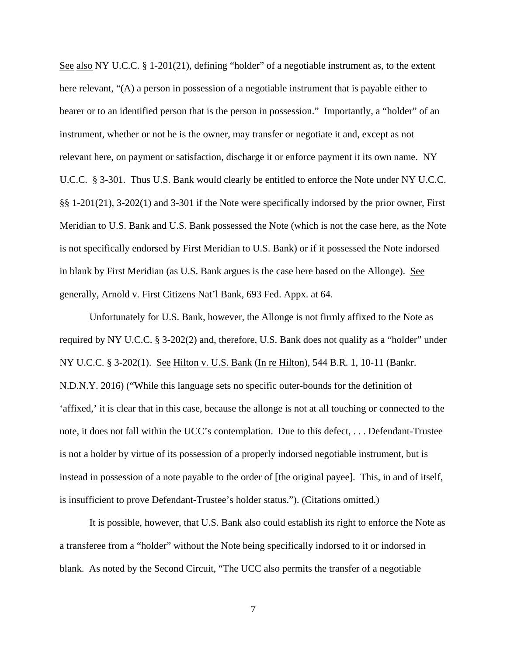See also NY U.C.C. § 1-201(21), defining "holder" of a negotiable instrument as, to the extent here relevant, "(A) a person in possession of a negotiable instrument that is payable either to bearer or to an identified person that is the person in possession." Importantly, a "holder" of an instrument, whether or not he is the owner, may transfer or negotiate it and, except as not relevant here, on payment or satisfaction, discharge it or enforce payment it its own name. NY U.C.C. § 3-301. Thus U.S. Bank would clearly be entitled to enforce the Note under NY U.C.C. §§ 1-201(21), 3-202(1) and 3-301 if the Note were specifically indorsed by the prior owner, First Meridian to U.S. Bank and U.S. Bank possessed the Note (which is not the case here, as the Note is not specifically endorsed by First Meridian to U.S. Bank) or if it possessed the Note indorsed in blank by First Meridian (as U.S. Bank argues is the case here based on the Allonge). See generally, Arnold v. First Citizens Nat'l Bank, 693 Fed. Appx. at 64.

Unfortunately for U.S. Bank, however, the Allonge is not firmly affixed to the Note as required by NY U.C.C. § 3-202(2) and, therefore, U.S. Bank does not qualify as a "holder" under NY U.C.C. § 3-202(1). See Hilton v. U.S. Bank (In re Hilton), 544 B.R. 1, 10-11 (Bankr. N.D.N.Y. 2016) ("While this language sets no specific outer-bounds for the definition of 'affixed,' it is clear that in this case, because the allonge is not at all touching or connected to the note, it does not fall within the UCC's contemplation. Due to this defect, . . . Defendant-Trustee is not a holder by virtue of its possession of a properly indorsed negotiable instrument, but is instead in possession of a note payable to the order of [the original payee]. This, in and of itself, is insufficient to prove Defendant-Trustee's holder status."). (Citations omitted.)

It is possible, however, that U.S. Bank also could establish its right to enforce the Note as a transferee from a "holder" without the Note being specifically indorsed to it or indorsed in blank. As noted by the Second Circuit, "The UCC also permits the transfer of a negotiable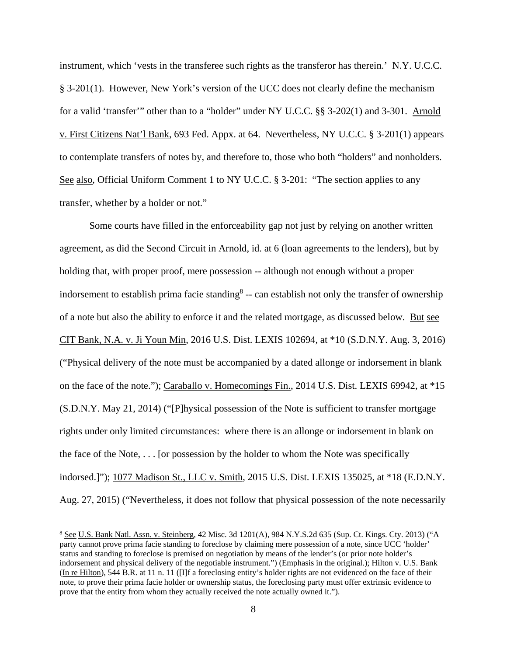instrument, which 'vests in the transferee such rights as the transferor has therein.' N.Y. U.C.C. § 3-201(1). However, New York's version of the UCC does not clearly define the mechanism for a valid 'transfer'" other than to a "holder" under NY U.C.C. §§ 3-202(1) and 3-301. Arnold v. First Citizens Nat'l Bank, 693 Fed. Appx. at 64. Nevertheless, NY U.C.C. § 3-201(1) appears to contemplate transfers of notes by, and therefore to, those who both "holders" and nonholders. See also, Official Uniform Comment 1 to NY U.C.C. § 3-201: "The section applies to any transfer, whether by a holder or not."

Some courts have filled in the enforceability gap not just by relying on another written agreement, as did the Second Circuit in Arnold, id. at 6 (loan agreements to the lenders), but by holding that, with proper proof, mere possession -- although not enough without a proper indorsement to establish prima facie standing<sup>8</sup> -- can establish not only the transfer of ownership of a note but also the ability to enforce it and the related mortgage, as discussed below. But see CIT Bank, N.A. v. Ji Youn Min, 2016 U.S. Dist. LEXIS 102694, at \*10 (S.D.N.Y. Aug. 3, 2016) ("Physical delivery of the note must be accompanied by a dated allonge or indorsement in blank on the face of the note."); Caraballo v. Homecomings Fin., 2014 U.S. Dist. LEXIS 69942, at \*15 (S.D.N.Y. May 21, 2014) ("[P]hysical possession of the Note is sufficient to transfer mortgage rights under only limited circumstances: where there is an allonge or indorsement in blank on the face of the Note, . . . [or possession by the holder to whom the Note was specifically indorsed.]"); 1077 Madison St., LLC v. Smith, 2015 U.S. Dist. LEXIS 135025, at \*18 (E.D.N.Y. Aug. 27, 2015) ("Nevertheless, it does not follow that physical possession of the note necessarily

<sup>&</sup>lt;sup>8</sup> See U.S. Bank Natl. Assn. v. Steinberg, 42 Misc. 3d 1201(A), 984 N.Y.S.2d 635 (Sup. Ct. Kings. Cty. 2013) ("A party cannot prove prima facie standing to foreclose by claiming mere possession of a note, since UCC 'holder' status and standing to foreclose is premised on negotiation by means of the lender's (or prior note holder's indorsement and physical delivery of the negotiable instrument.") (Emphasis in the original.); Hilton v. U.S. Bank (In re Hilton), 544 B.R. at 11 n. 11 ([I]f a foreclosing entity's holder rights are not evidenced on the face of their note, to prove their prima facie holder or ownership status, the foreclosing party must offer extrinsic evidence to prove that the entity from whom they actually received the note actually owned it.").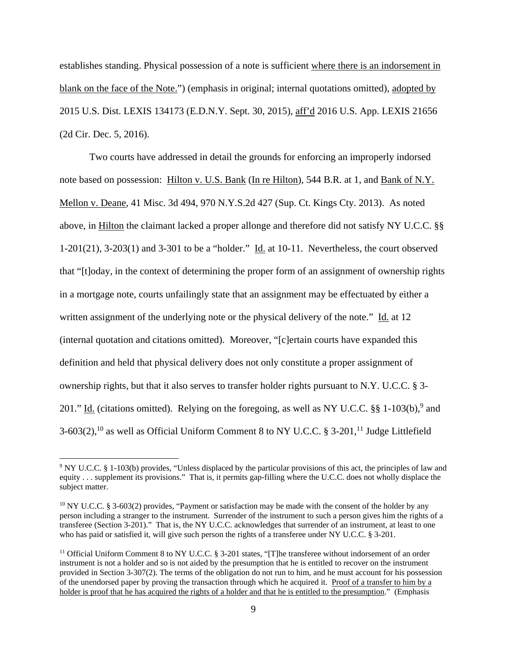establishes standing. Physical possession of a note is sufficient where there is an indorsement in blank on the face of the Note.") (emphasis in original; internal quotations omitted), adopted by 2015 U.S. Dist. LEXIS 134173 (E.D.N.Y. Sept. 30, 2015), aff'd 2016 U.S. App. LEXIS 21656 (2d Cir. Dec. 5, 2016).

Two courts have addressed in detail the grounds for enforcing an improperly indorsed note based on possession: Hilton v. U.S. Bank (In re Hilton), 544 B.R. at 1, and Bank of N.Y. Mellon v. Deane, 41 Misc. 3d 494, 970 N.Y.S.2d 427 (Sup. Ct. Kings Cty. 2013). As noted above, in Hilton the claimant lacked a proper allonge and therefore did not satisfy NY U.C.C. §§ 1-201(21), 3-203(1) and 3-301 to be a "holder." Id. at 10-11. Nevertheless, the court observed that "[t]oday, in the context of determining the proper form of an assignment of ownership rights in a mortgage note, courts unfailingly state that an assignment may be effectuated by either a written assignment of the underlying note or the physical delivery of the note." Id. at 12 (internal quotation and citations omitted). Moreover, "[c]ertain courts have expanded this definition and held that physical delivery does not only constitute a proper assignment of ownership rights, but that it also serves to transfer holder rights pursuant to N.Y. U.C.C. § 3- 201." Id. (citations omitted). Relying on the foregoing, as well as NY U.C.C.  $\S$ § 1-103(b),<sup>9</sup> and 3-603(2),<sup>10</sup> as well as Official Uniform Comment 8 to NY U.C.C. § 3-201,<sup>11</sup> Judge Littlefield

<sup>&</sup>lt;sup>9</sup> NY U.C.C. § 1-103(b) provides, "Unless displaced by the particular provisions of this act, the principles of law and equity . . . supplement its provisions." That is, it permits gap-filling where the U.C.C. does not wholly displace the subject matter.

<sup>&</sup>lt;sup>10</sup> NY U.C.C. § 3-603(2) provides, "Payment or satisfaction may be made with the consent of the holder by any person including a stranger to the instrument. Surrender of the instrument to such a person gives him the rights of a transferee (Section 3-201)." That is, the NY U.C.C. acknowledges that surrender of an instrument, at least to one who has paid or satisfied it, will give such person the rights of a transferee under NY U.C.C. § 3-201.

<sup>&</sup>lt;sup>11</sup> Official Uniform Comment 8 to NY U.C.C. § 3-201 states, "[T]he transferee without indorsement of an order instrument is not a holder and so is not aided by the presumption that he is entitled to recover on the instrument provided in Section 3-307(2). The terms of the obligation do not run to him, and he must account for his possession of the unendorsed paper by proving the transaction through which he acquired it. Proof of a transfer to him by a holder is proof that he has acquired the rights of a holder and that he is entitled to the presumption." (Emphasis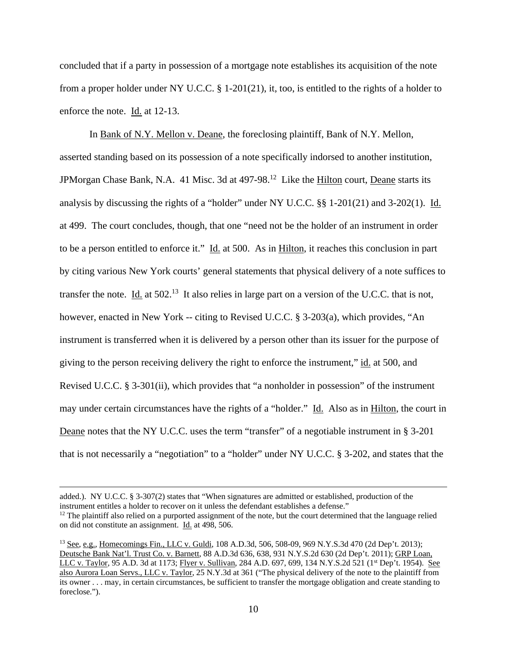concluded that if a party in possession of a mortgage note establishes its acquisition of the note from a proper holder under NY U.C.C.  $\S$  1-201(21), it, too, is entitled to the rights of a holder to enforce the note. Id. at 12-13.

In Bank of N.Y. Mellon v. Deane, the foreclosing plaintiff, Bank of N.Y. Mellon, asserted standing based on its possession of a note specifically indorsed to another institution, JPMorgan Chase Bank, N.A. 41 Misc. 3d at 497-98.<sup>12</sup> Like the Hilton court, Deane starts its analysis by discussing the rights of a "holder" under NY U.C.C. §§ 1-201(21) and 3-202(1). Id. at 499. The court concludes, though, that one "need not be the holder of an instrument in order to be a person entitled to enforce it." Id. at 500. As in Hilton, it reaches this conclusion in part by citing various New York courts' general statements that physical delivery of a note suffices to transfer the note. Id. at  $502<sup>13</sup>$  It also relies in large part on a version of the U.C.C. that is not, however, enacted in New York -- citing to Revised U.C.C. § 3-203(a), which provides, "An instrument is transferred when it is delivered by a person other than its issuer for the purpose of giving to the person receiving delivery the right to enforce the instrument," id. at 500, and Revised U.C.C. § 3-301(ii), which provides that "a nonholder in possession" of the instrument may under certain circumstances have the rights of a "holder." Id. Also as in Hilton, the court in Deane notes that the NY U.C.C. uses the term "transfer" of a negotiable instrument in § 3-201 that is not necessarily a "negotiation" to a "holder" under NY U.C.C. § 3-202, and states that the

added.). NY U.C.C. § 3-307(2) states that "When signatures are admitted or established, production of the instrument entitles a holder to recover on it unless the defendant establishes a defense."  $12$  The plaintiff also relied on a purported assignment of the note, but the court determined that the language relied on did not constitute an assignment. Id. at 498, 506.

<sup>13</sup> See, e.g., Homecomings Fin., LLC v. Guldi, 108 A.D.3d, 506, 508-09, 969 N.Y.S.3d 470 (2d Dep't. 2013); Deutsche Bank Nat'l. Trust Co. v. Barnett, 88 A.D.3d 636, 638, 931 N.Y.S.2d 630 (2d Dep't. 2011); GRP Loan, LLC v. Taylor, 95 A.D. 3d at 1173; Flyer v. Sullivan, 284 A.D. 697, 699, 134 N.Y.S.2d 521 (1<sup>st</sup> Dep't. 1954). See also Aurora Loan Servs., LLC v. Taylor, 25 N.Y.3d at 361 ("The physical delivery of the note to the plaintiff from its owner . . . may, in certain circumstances, be sufficient to transfer the mortgage obligation and create standing to foreclose.").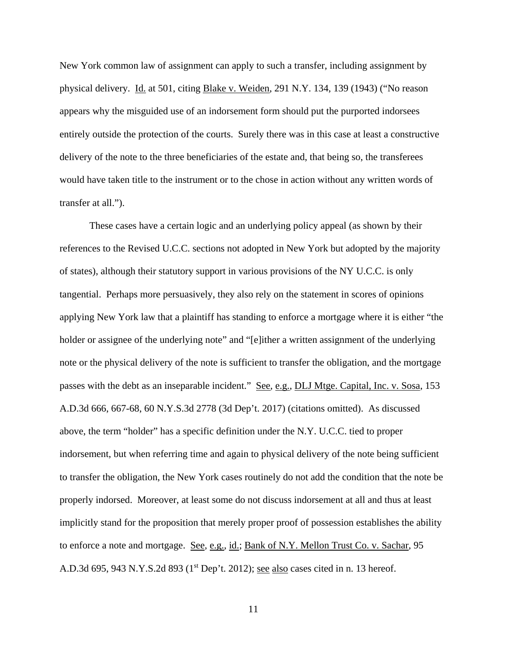New York common law of assignment can apply to such a transfer, including assignment by physical delivery. Id. at 501, citing Blake v. Weiden, 291 N.Y. 134, 139 (1943) ("No reason appears why the misguided use of an indorsement form should put the purported indorsees entirely outside the protection of the courts. Surely there was in this case at least a constructive delivery of the note to the three beneficiaries of the estate and, that being so, the transferees would have taken title to the instrument or to the chose in action without any written words of transfer at all.").

These cases have a certain logic and an underlying policy appeal (as shown by their references to the Revised U.C.C. sections not adopted in New York but adopted by the majority of states), although their statutory support in various provisions of the NY U.C.C. is only tangential. Perhaps more persuasively, they also rely on the statement in scores of opinions applying New York law that a plaintiff has standing to enforce a mortgage where it is either "the holder or assignee of the underlying note" and "[e]ither a written assignment of the underlying note or the physical delivery of the note is sufficient to transfer the obligation, and the mortgage passes with the debt as an inseparable incident." See, e.g., DLJ Mtge. Capital, Inc. v. Sosa, 153 A.D.3d 666, 667-68, 60 N.Y.S.3d 2778 (3d Dep't. 2017) (citations omitted). As discussed above, the term "holder" has a specific definition under the N.Y. U.C.C. tied to proper indorsement, but when referring time and again to physical delivery of the note being sufficient to transfer the obligation, the New York cases routinely do not add the condition that the note be properly indorsed. Moreover, at least some do not discuss indorsement at all and thus at least implicitly stand for the proposition that merely proper proof of possession establishes the ability to enforce a note and mortgage. See, e.g., id.; Bank of N.Y. Mellon Trust Co. v. Sachar, 95 A.D.3d 695, 943 N.Y.S.2d 893 (1<sup>st</sup> Dep't. 2012); <u>see also</u> cases cited in n. 13 hereof.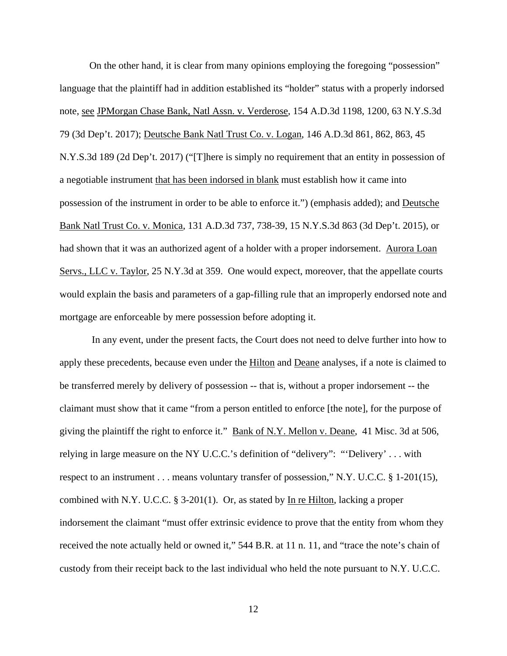On the other hand, it is clear from many opinions employing the foregoing "possession" language that the plaintiff had in addition established its "holder" status with a properly indorsed note, see JPMorgan Chase Bank, Natl Assn. v. Verderose, 154 A.D.3d 1198, 1200, 63 N.Y.S.3d 79 (3d Dep't. 2017); Deutsche Bank Natl Trust Co. v. Logan, 146 A.D.3d 861, 862, 863, 45 N.Y.S.3d 189 (2d Dep't. 2017) ("[T]here is simply no requirement that an entity in possession of a negotiable instrument that has been indorsed in blank must establish how it came into possession of the instrument in order to be able to enforce it.") (emphasis added); and Deutsche Bank Natl Trust Co. v. Monica, 131 A.D.3d 737, 738-39, 15 N.Y.S.3d 863 (3d Dep't. 2015), or had shown that it was an authorized agent of a holder with a proper indorsement. Aurora Loan Servs., LLC v. Taylor, 25 N.Y.3d at 359. One would expect, moreover, that the appellate courts would explain the basis and parameters of a gap-filling rule that an improperly endorsed note and mortgage are enforceable by mere possession before adopting it.

 In any event, under the present facts, the Court does not need to delve further into how to apply these precedents, because even under the Hilton and Deane analyses, if a note is claimed to be transferred merely by delivery of possession -- that is, without a proper indorsement -- the claimant must show that it came "from a person entitled to enforce [the note], for the purpose of giving the plaintiff the right to enforce it." Bank of N.Y. Mellon v. Deane, 41 Misc. 3d at 506, relying in large measure on the NY U.C.C.'s definition of "delivery": "'Delivery' . . . with respect to an instrument . . . means voluntary transfer of possession," N.Y. U.C.C. § 1-201(15), combined with N.Y. U.C.C. § 3-201(1). Or, as stated by In re Hilton, lacking a proper indorsement the claimant "must offer extrinsic evidence to prove that the entity from whom they received the note actually held or owned it," 544 B.R. at 11 n. 11, and "trace the note's chain of custody from their receipt back to the last individual who held the note pursuant to N.Y. U.C.C.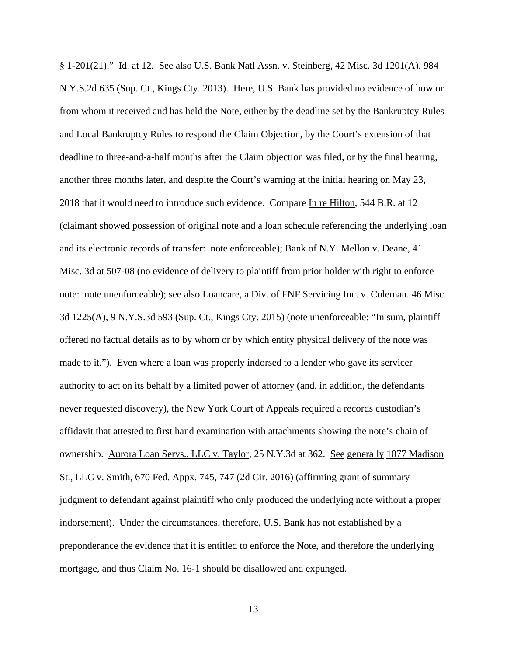§ 1-201(21)." Id. at 12. See also U.S. Bank Natl Assn. v. Steinberg, 42 Misc. 3d 1201(A), 984 N.Y.S.2d 635 (Sup. Ct., Kings Cty. 2013). Here, U.S. Bank has provided no evidence of how or from whom it received and has held the Note, either by the deadline set by the Bankruptcy Rules and Local Bankruptcy Rules to respond the Claim Objection, by the Court's extension of that deadline to three-and-a-half months after the Claim objection was filed, or by the final hearing, another three months later, and despite the Court's warning at the initial hearing on May 23, 2018 that it would need to introduce such evidence. Compare In re Hilton, 544 B.R. at 12 (claimant showed possession of original note and a loan schedule referencing the underlying loan and its electronic records of transfer: note enforceable); Bank of N.Y. Mellon v. Deane, 41 Misc. 3d at 507-08 (no evidence of delivery to plaintiff from prior holder with right to enforce note: note unenforceable); see also Loancare, a Div. of FNF Servicing Inc. v. Coleman. 46 Misc. 3d 1225(A), 9 N.Y.S.3d 593 (Sup. Ct., Kings Cty. 2015) (note unenforceable: "In sum, plaintiff offered no factual details as to by whom or by which entity physical delivery of the note was made to it."). Even where a loan was properly indorsed to a lender who gave its servicer authority to act on its behalf by a limited power of attorney (and, in addition, the defendants never requested discovery), the New York Court of Appeals required a records custodian's affidavit that attested to first hand examination with attachments showing the note's chain of ownership. Aurora Loan Servs., LLC v. Taylor, 25 N.Y.3d at 362. See generally 1077 Madison St., LLC v. Smith, 670 Fed. Appx. 745, 747 (2d Cir. 2016) (affirming grant of summary judgment to defendant against plaintiff who only produced the underlying note without a proper indorsement). Under the circumstances, therefore, U.S. Bank has not established by a preponderance the evidence that it is entitled to enforce the Note, and therefore the underlying mortgage, and thus Claim No. 16-1 should be disallowed and expunged.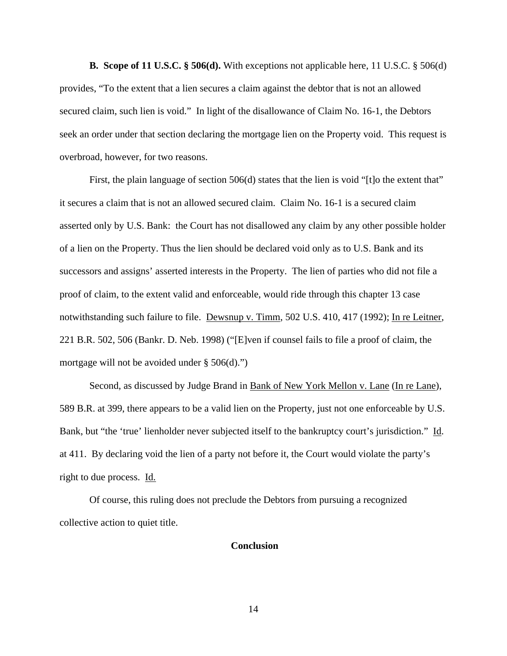**B. Scope of 11 U.S.C. § 506(d).** With exceptions not applicable here, 11 U.S.C. § 506(d) provides, "To the extent that a lien secures a claim against the debtor that is not an allowed secured claim, such lien is void." In light of the disallowance of Claim No. 16-1, the Debtors seek an order under that section declaring the mortgage lien on the Property void. This request is overbroad, however, for two reasons.

First, the plain language of section 506(d) states that the lien is void "[t]o the extent that" it secures a claim that is not an allowed secured claim. Claim No. 16-1 is a secured claim asserted only by U.S. Bank: the Court has not disallowed any claim by any other possible holder of a lien on the Property. Thus the lien should be declared void only as to U.S. Bank and its successors and assigns' asserted interests in the Property. The lien of parties who did not file a proof of claim, to the extent valid and enforceable, would ride through this chapter 13 case notwithstanding such failure to file. Dewsnup v. Timm, 502 U.S. 410, 417 (1992); In re Leitner, 221 B.R. 502, 506 (Bankr. D. Neb. 1998) ("[E]ven if counsel fails to file a proof of claim, the mortgage will not be avoided under  $\S 506(d)$ ."

Second, as discussed by Judge Brand in Bank of New York Mellon v. Lane (In re Lane), 589 B.R. at 399, there appears to be a valid lien on the Property, just not one enforceable by U.S. Bank, but "the 'true' lienholder never subjected itself to the bankruptcy court's jurisdiction." Id. at 411. By declaring void the lien of a party not before it, the Court would violate the party's right to due process. Id.

Of course, this ruling does not preclude the Debtors from pursuing a recognized collective action to quiet title.

#### **Conclusion**